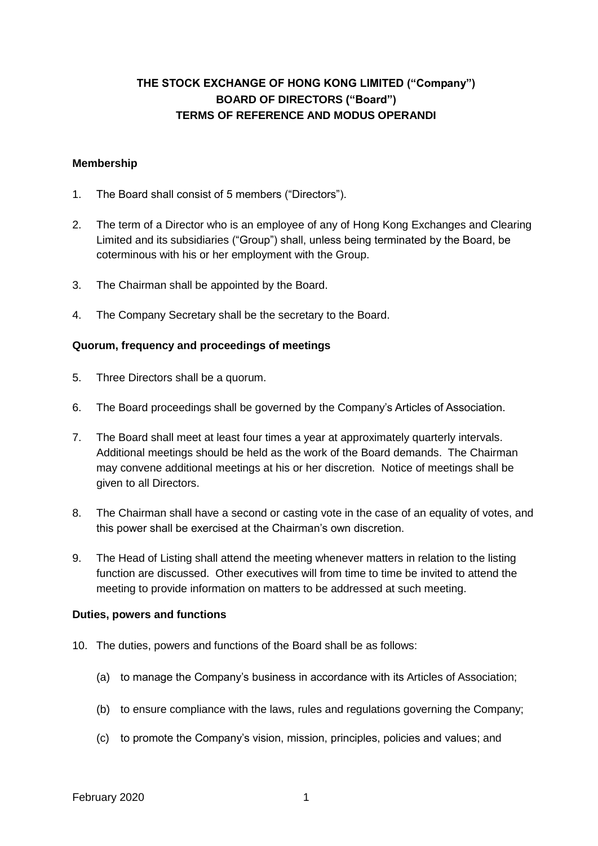# **THE STOCK EXCHANGE OF HONG KONG LIMITED ("Company") BOARD OF DIRECTORS ("Board") TERMS OF REFERENCE AND MODUS OPERANDI**

#### **Membership**

- 1. The Board shall consist of 5 members ("Directors").
- 2. The term of a Director who is an employee of any of Hong Kong Exchanges and Clearing Limited and its subsidiaries ("Group") shall, unless being terminated by the Board, be coterminous with his or her employment with the Group.
- 3. The Chairman shall be appointed by the Board.
- 4. The Company Secretary shall be the secretary to the Board.

### **Quorum, frequency and proceedings of meetings**

- 5. Three Directors shall be a quorum.
- 6. The Board proceedings shall be governed by the Company's Articles of Association.
- 7. The Board shall meet at least four times a year at approximately quarterly intervals. Additional meetings should be held as the work of the Board demands. The Chairman may convene additional meetings at his or her discretion. Notice of meetings shall be given to all Directors.
- 8. The Chairman shall have a second or casting vote in the case of an equality of votes, and this power shall be exercised at the Chairman's own discretion.
- 9. The Head of Listing shall attend the meeting whenever matters in relation to the listing function are discussed. Other executives will from time to time be invited to attend the meeting to provide information on matters to be addressed at such meeting.

#### **Duties, powers and functions**

- 10. The duties, powers and functions of the Board shall be as follows:
	- (a) to manage the Company's business in accordance with its Articles of Association;
	- (b) to ensure compliance with the laws, rules and regulations governing the Company;
	- (c) to promote the Company's vision, mission, principles, policies and values; and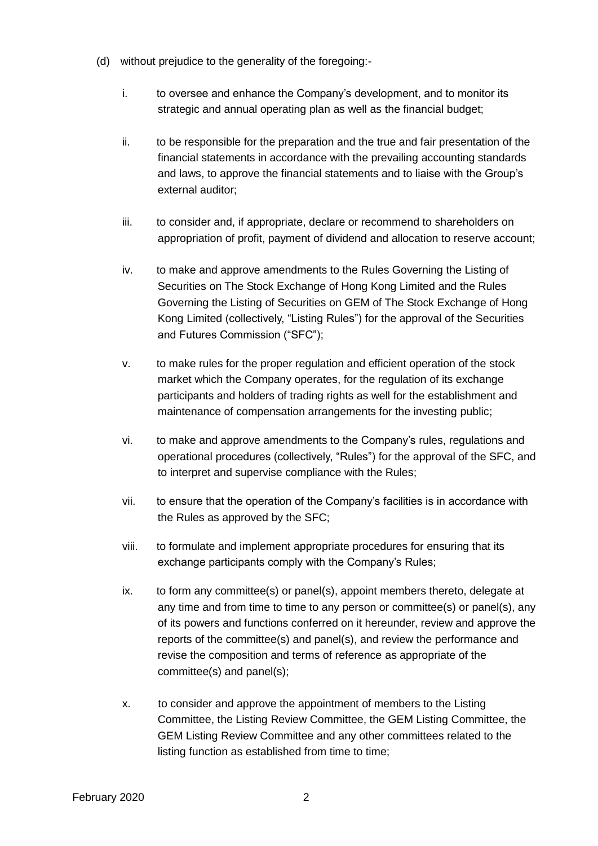- (d) without prejudice to the generality of the foregoing:
	- i. to oversee and enhance the Company's development, and to monitor its strategic and annual operating plan as well as the financial budget;
	- ii. to be responsible for the preparation and the true and fair presentation of the financial statements in accordance with the prevailing accounting standards and laws, to approve the financial statements and to liaise with the Group's external auditor;
	- iii. to consider and, if appropriate, declare or recommend to shareholders on appropriation of profit, payment of dividend and allocation to reserve account;
	- iv. to make and approve amendments to the Rules Governing the Listing of Securities on The Stock Exchange of Hong Kong Limited and the Rules Governing the Listing of Securities on GEM of The Stock Exchange of Hong Kong Limited (collectively, "Listing Rules") for the approval of the Securities and Futures Commission ("SFC");
	- v. to make rules for the proper regulation and efficient operation of the stock market which the Company operates, for the regulation of its exchange participants and holders of trading rights as well for the establishment and maintenance of compensation arrangements for the investing public;
	- vi. to make and approve amendments to the Company's rules, regulations and operational procedures (collectively, "Rules") for the approval of the SFC, and to interpret and supervise compliance with the Rules;
	- vii. to ensure that the operation of the Company's facilities is in accordance with the Rules as approved by the SFC;
	- viii. to formulate and implement appropriate procedures for ensuring that its exchange participants comply with the Company's Rules;
	- ix. to form any committee(s) or panel(s), appoint members thereto, delegate at any time and from time to time to any person or committee(s) or panel(s), any of its powers and functions conferred on it hereunder, review and approve the reports of the committee(s) and panel(s), and review the performance and revise the composition and terms of reference as appropriate of the committee(s) and panel(s);
	- x. to consider and approve the appointment of members to the Listing Committee, the Listing Review Committee, the GEM Listing Committee, the GEM Listing Review Committee and any other committees related to the listing function as established from time to time;